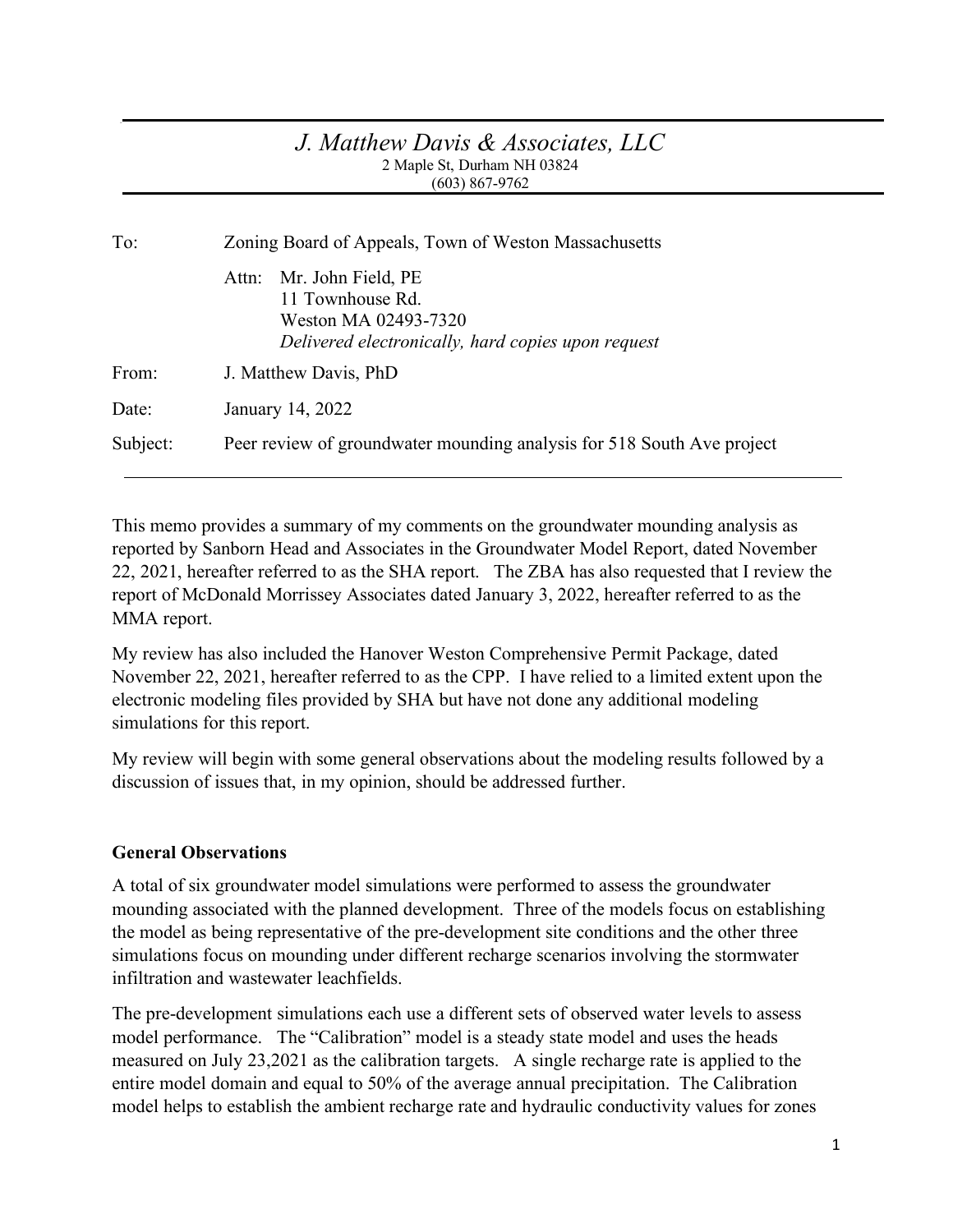#### *J. Matthew Davis & Associates, LLC* 2 Maple St, Durham NH 03824 (603) 867-9762

| To:      | Zoning Board of Appeals, Town of Weston Massachusetts                                                                      |  |  |  |
|----------|----------------------------------------------------------------------------------------------------------------------------|--|--|--|
|          | Attn: Mr. John Field, PE<br>11 Townhouse Rd.<br>Weston MA 02493-7320<br>Delivered electronically, hard copies upon request |  |  |  |
| From:    | J. Matthew Davis, PhD                                                                                                      |  |  |  |
| Date:    | January 14, 2022                                                                                                           |  |  |  |
| Subject: | Peer review of groundwater mounding analysis for 518 South Ave project                                                     |  |  |  |

This memo provides a summary of my comments on the groundwater mounding analysis as reported by Sanborn Head and Associates in the Groundwater Model Report, dated November 22, 2021, hereafter referred to as the SHA report. The ZBA has also requested that I review the report of McDonald Morrissey Associates dated January 3, 2022, hereafter referred to as the MMA report.

My review has also included the Hanover Weston Comprehensive Permit Package, dated November 22, 2021, hereafter referred to as the CPP. I have relied to a limited extent upon the electronic modeling files provided by SHA but have not done any additional modeling simulations for this report.

My review will begin with some general observations about the modeling results followed by a discussion of issues that, in my opinion, should be addressed further.

### **General Observations**

A total of six groundwater model simulations were performed to assess the groundwater mounding associated with the planned development. Three of the models focus on establishing the model as being representative of the pre-development site conditions and the other three simulations focus on mounding under different recharge scenarios involving the stormwater infiltration and wastewater leachfields.

The pre-development simulations each use a different sets of observed water levels to assess model performance. The "Calibration" model is a steady state model and uses the heads measured on July 23,2021 as the calibration targets. A single recharge rate is applied to the entire model domain and equal to 50% of the average annual precipitation. The Calibration model helps to establish the ambient recharge rate and hydraulic conductivity values for zones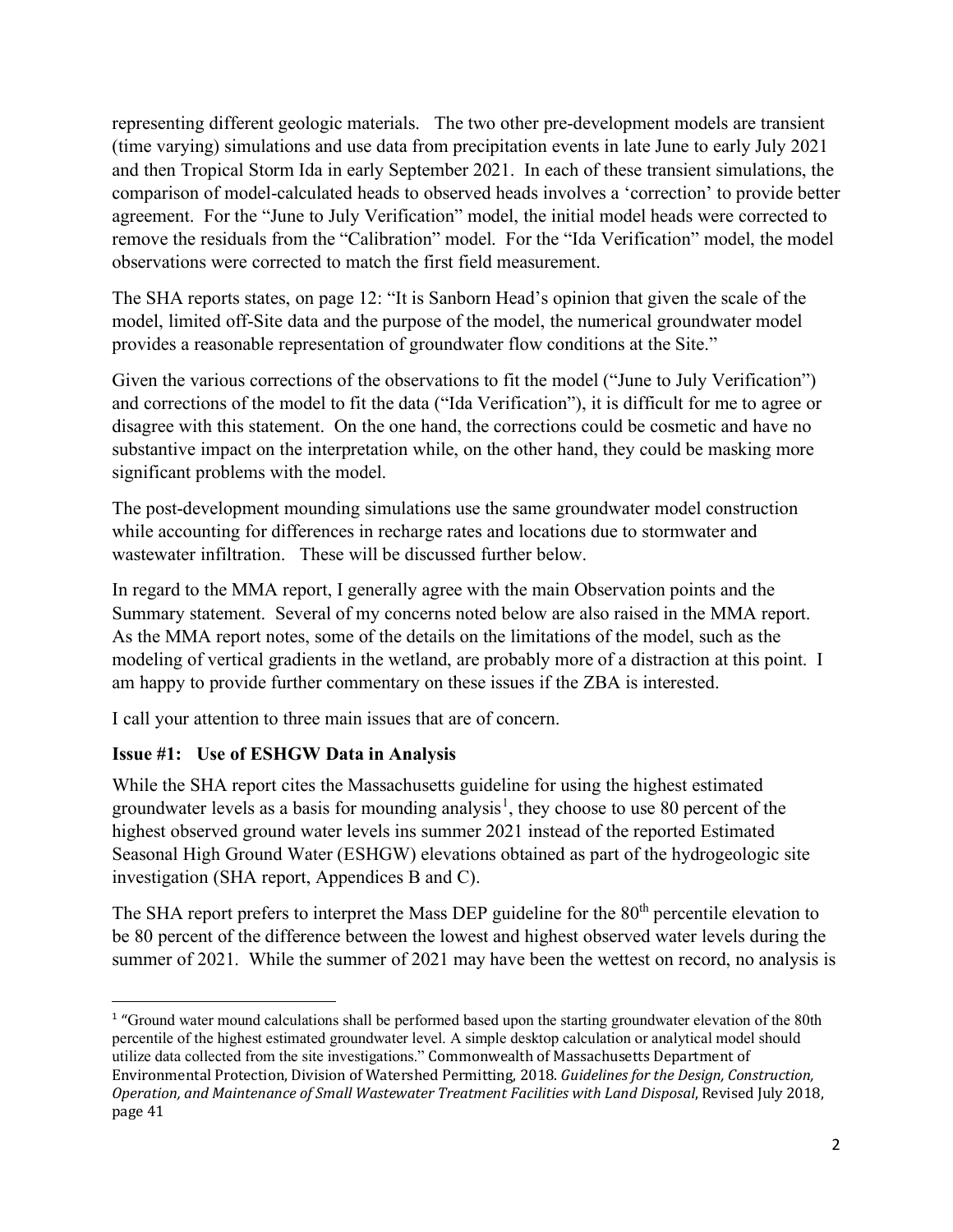representing different geologic materials. The two other pre-development models are transient (time varying) simulations and use data from precipitation events in late June to early July 2021 and then Tropical Storm Ida in early September 2021. In each of these transient simulations, the comparison of model-calculated heads to observed heads involves a 'correction' to provide better agreement. For the "June to July Verification" model, the initial model heads were corrected to remove the residuals from the "Calibration" model. For the "Ida Verification" model, the model observations were corrected to match the first field measurement.

The SHA reports states, on page 12: "It is Sanborn Head's opinion that given the scale of the model, limited off-Site data and the purpose of the model, the numerical groundwater model provides a reasonable representation of groundwater flow conditions at the Site."

Given the various corrections of the observations to fit the model ("June to July Verification") and corrections of the model to fit the data ("Ida Verification"), it is difficult for me to agree or disagree with this statement. On the one hand, the corrections could be cosmetic and have no substantive impact on the interpretation while, on the other hand, they could be masking more significant problems with the model.

The post-development mounding simulations use the same groundwater model construction while accounting for differences in recharge rates and locations due to stormwater and wastewater infiltration. These will be discussed further below.

In regard to the MMA report, I generally agree with the main Observation points and the Summary statement. Several of my concerns noted below are also raised in the MMA report. As the MMA report notes, some of the details on the limitations of the model, such as the modeling of vertical gradients in the wetland, are probably more of a distraction at this point. I am happy to provide further commentary on these issues if the ZBA is interested.

I call your attention to three main issues that are of concern.

# **Issue #1: Use of ESHGW Data in Analysis**

While the SHA report cites the Massachusetts guideline for using the highest estimated groundwater levels as a basis for mounding analysis<sup>[1](#page-1-0)</sup>, they choose to use 80 percent of the highest observed ground water levels ins summer 2021 instead of the reported Estimated Seasonal High Ground Water (ESHGW) elevations obtained as part of the hydrogeologic site investigation (SHA report, Appendices B and C).

The SHA report prefers to interpret the Mass DEP guideline for the 80<sup>th</sup> percentile elevation to be 80 percent of the difference between the lowest and highest observed water levels during the summer of 2021. While the summer of 2021 may have been the wettest on record, no analysis is

<span id="page-1-0"></span><sup>&</sup>lt;sup>1</sup> "Ground water mound calculations shall be performed based upon the starting groundwater elevation of the 80th percentile of the highest estimated groundwater level. A simple desktop calculation or analytical model should utilize data collected from the site investigations." Commonwealth of Massachusetts Department of Environmental Protection, Division of Watershed Permitting, 2018. *Guidelines for the Design, Construction, Operation, and Maintenance of Small Wastewater Treatment Facilities with Land Disposal*, Revised July 2018, page 41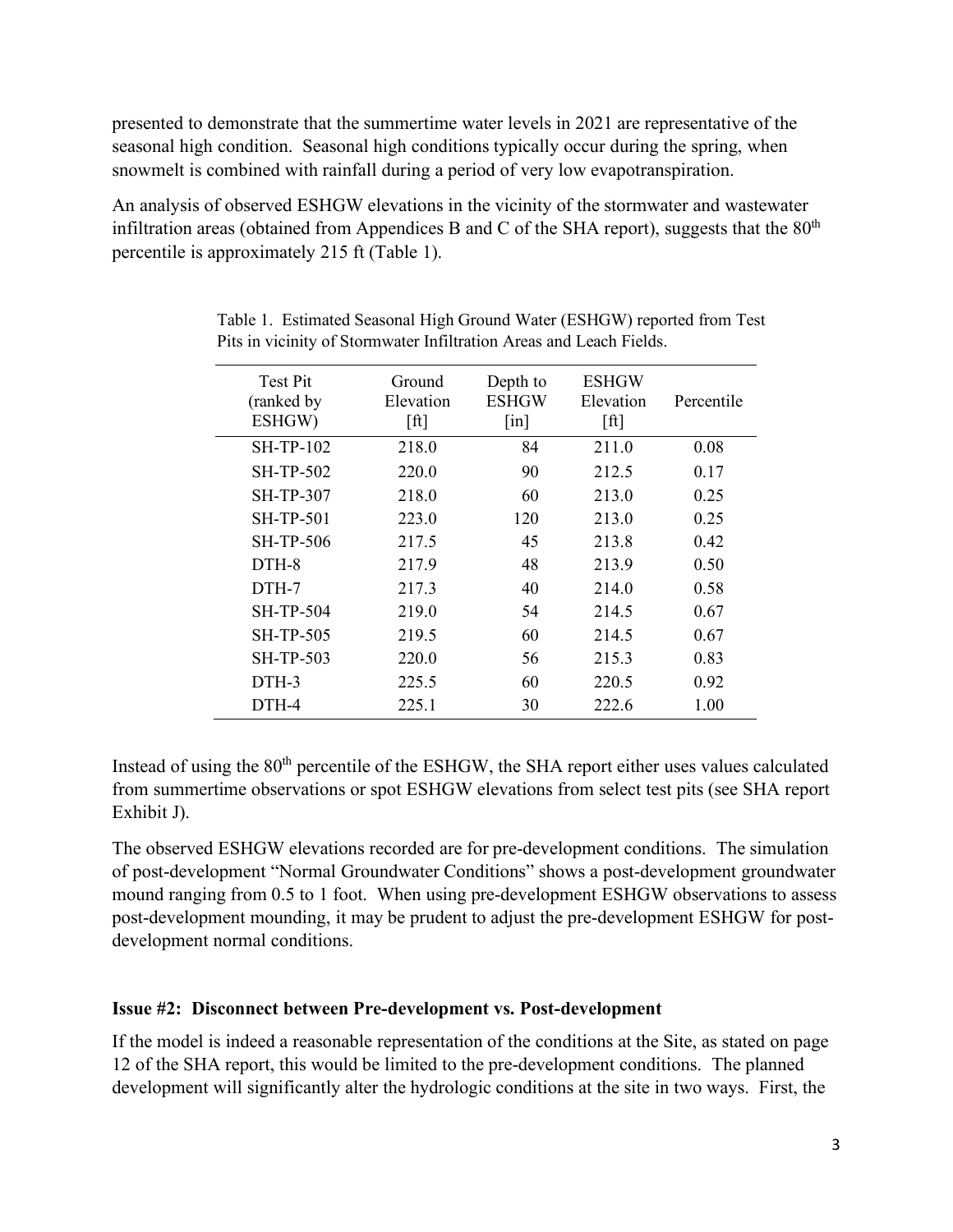presented to demonstrate that the summertime water levels in 2021 are representative of the seasonal high condition. Seasonal high conditions typically occur during the spring, when snowmelt is combined with rainfall during a period of very low evapotranspiration.

An analysis of observed ESHGW elevations in the vicinity of the stormwater and wastewater infiltration areas (obtained from Appendices B and C of the SHA report), suggests that the  $80<sup>th</sup>$ percentile is approximately 215 ft (Table 1).

| Test Pit<br>(ranked by<br>ESHGW) | Ground<br>Elevation<br>[ft] | Depth to<br><b>ESHGW</b><br>$\lceil$ in] | <b>ESHGW</b><br>Elevation<br>[ft] | Percentile |
|----------------------------------|-----------------------------|------------------------------------------|-----------------------------------|------------|
| <b>SH-TP-102</b>                 | 218.0                       | 84                                       | 211.0                             | 0.08       |
| <b>SH-TP-502</b>                 | 220.0                       | 90                                       | 212.5                             | 0.17       |
| <b>SH-TP-307</b>                 | 218.0                       | 60                                       | 213.0                             | 0.25       |
| <b>SH-TP-501</b>                 | 223.0                       | 120                                      | 213.0                             | 0.25       |
| <b>SH-TP-506</b>                 | 217.5                       | 45                                       | 213.8                             | 0.42       |
| DTH-8                            | 217.9                       | 48                                       | 213.9                             | 0.50       |
| DTH-7                            | 217.3                       | 40                                       | 214.0                             | 0.58       |
| <b>SH-TP-504</b>                 | 219.0                       | 54                                       | 214.5                             | 0.67       |
| <b>SH-TP-505</b>                 | 219.5                       | 60                                       | 214.5                             | 0.67       |
| <b>SH-TP-503</b>                 | 220.0                       | 56                                       | 215.3                             | 0.83       |
| DTH-3                            | 225.5                       | 60                                       | 220.5                             | 0.92       |
| DTH-4                            | 225.1                       | 30                                       | 222.6                             | 1.00       |

Table 1. Estimated Seasonal High Ground Water (ESHGW) reported from Test Pits in vicinity of Stormwater Infiltration Areas and Leach Fields.

Instead of using the 80<sup>th</sup> percentile of the ESHGW, the SHA report either uses values calculated from summertime observations or spot ESHGW elevations from select test pits (see SHA report Exhibit J).

The observed ESHGW elevations recorded are for pre-development conditions. The simulation of post-development "Normal Groundwater Conditions" shows a post-development groundwater mound ranging from 0.5 to 1 foot. When using pre-development ESHGW observations to assess post-development mounding, it may be prudent to adjust the pre-development ESHGW for postdevelopment normal conditions.

### **Issue #2: Disconnect between Pre-development vs. Post-development**

If the model is indeed a reasonable representation of the conditions at the Site, as stated on page 12 of the SHA report, this would be limited to the pre-development conditions. The planned development will significantly alter the hydrologic conditions at the site in two ways. First, the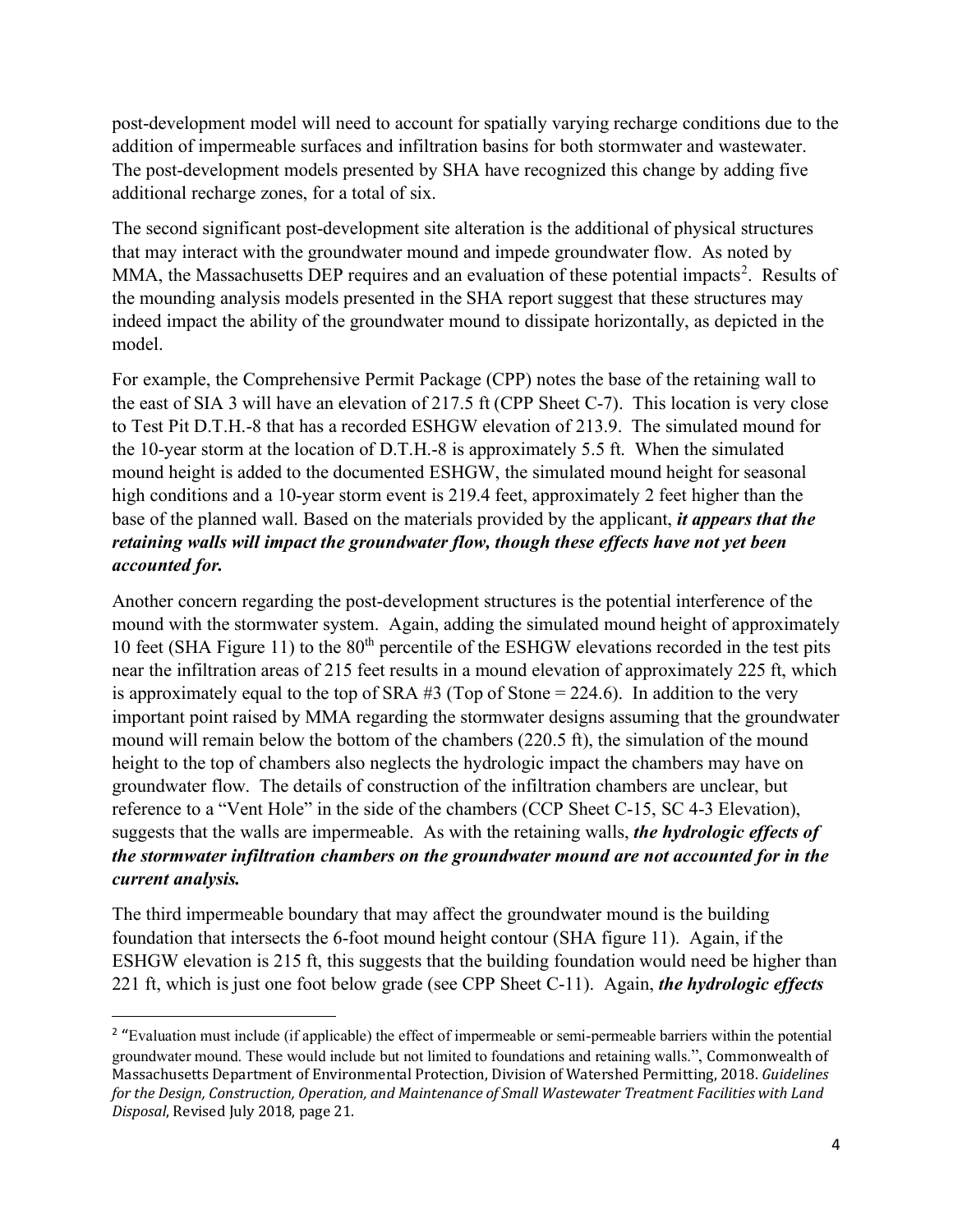post-development model will need to account for spatially varying recharge conditions due to the addition of impermeable surfaces and infiltration basins for both stormwater and wastewater. The post-development models presented by SHA have recognized this change by adding five additional recharge zones, for a total of six.

The second significant post-development site alteration is the additional of physical structures that may interact with the groundwater mound and impede groundwater flow. As noted by MMA, the Massachusetts DEP requires and an evaluation of these potential impacts<sup>[2](#page-3-0)</sup>. Results of the mounding analysis models presented in the SHA report suggest that these structures may indeed impact the ability of the groundwater mound to dissipate horizontally, as depicted in the model.

For example, the Comprehensive Permit Package (CPP) notes the base of the retaining wall to the east of SIA 3 will have an elevation of 217.5 ft (CPP Sheet C-7). This location is very close to Test Pit D.T.H.-8 that has a recorded ESHGW elevation of 213.9. The simulated mound for the 10-year storm at the location of D.T.H.-8 is approximately 5.5 ft. When the simulated mound height is added to the documented ESHGW, the simulated mound height for seasonal high conditions and a 10-year storm event is 219.4 feet, approximately 2 feet higher than the base of the planned wall. Based on the materials provided by the applicant, *it appears that the retaining walls will impact the groundwater flow, though these effects have not yet been accounted for.*

Another concern regarding the post-development structures is the potential interference of the mound with the stormwater system. Again, adding the simulated mound height of approximately 10 feet (SHA Figure 11) to the  $80<sup>th</sup>$  percentile of the ESHGW elevations recorded in the test pits near the infiltration areas of 215 feet results in a mound elevation of approximately 225 ft, which is approximately equal to the top of SRA #3 (Top of Stone = 224.6). In addition to the very important point raised by MMA regarding the stormwater designs assuming that the groundwater mound will remain below the bottom of the chambers (220.5 ft), the simulation of the mound height to the top of chambers also neglects the hydrologic impact the chambers may have on groundwater flow. The details of construction of the infiltration chambers are unclear, but reference to a "Vent Hole" in the side of the chambers (CCP Sheet C-15, SC 4-3 Elevation), suggests that the walls are impermeable. As with the retaining walls, *the hydrologic effects of the stormwater infiltration chambers on the groundwater mound are not accounted for in the current analysis.* 

The third impermeable boundary that may affect the groundwater mound is the building foundation that intersects the 6-foot mound height contour (SHA figure 11). Again, if the ESHGW elevation is 215 ft, this suggests that the building foundation would need be higher than 221 ft, which is just one foot below grade (see CPP Sheet C-11). Again, *the hydrologic effects*

<span id="page-3-0"></span><sup>&</sup>lt;sup>2</sup> "Evaluation must include (if applicable) the effect of impermeable or semi-permeable barriers within the potential groundwater mound. These would include but not limited to foundations and retaining walls.", Commonwealth of Massachusetts Department of Environmental Protection, Division of Watershed Permitting, 2018. *Guidelines for the Design, Construction, Operation, and Maintenance of Small Wastewater Treatment Facilities with Land Disposal*, Revised July 2018, page 21.